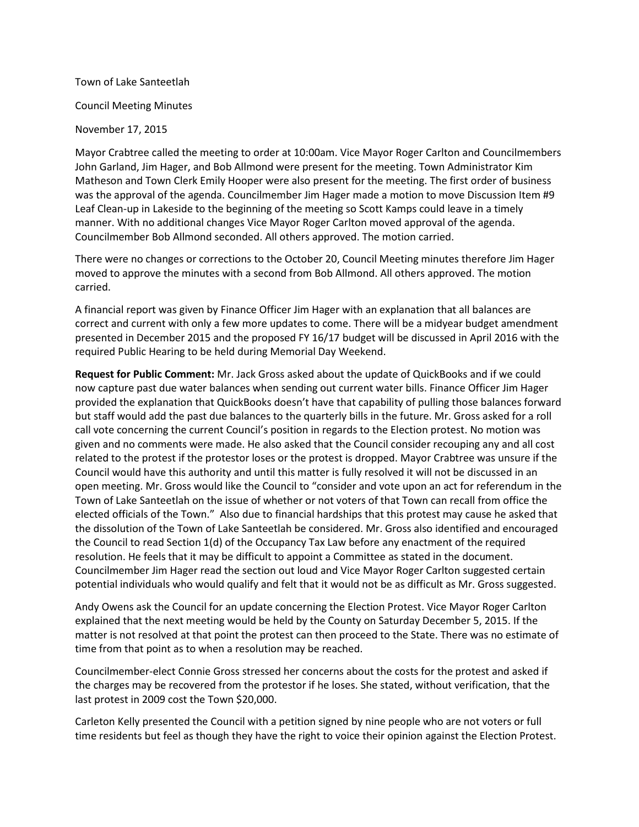### Town of Lake Santeetlah

### Council Meeting Minutes

### November 17, 2015

Mayor Crabtree called the meeting to order at 10:00am. Vice Mayor Roger Carlton and Councilmembers John Garland, Jim Hager, and Bob Allmond were present for the meeting. Town Administrator Kim Matheson and Town Clerk Emily Hooper were also present for the meeting. The first order of business was the approval of the agenda. Councilmember Jim Hager made a motion to move Discussion Item #9 Leaf Clean-up in Lakeside to the beginning of the meeting so Scott Kamps could leave in a timely manner. With no additional changes Vice Mayor Roger Carlton moved approval of the agenda. Councilmember Bob Allmond seconded. All others approved. The motion carried.

There were no changes or corrections to the October 20, Council Meeting minutes therefore Jim Hager moved to approve the minutes with a second from Bob Allmond. All others approved. The motion carried.

A financial report was given by Finance Officer Jim Hager with an explanation that all balances are correct and current with only a few more updates to come. There will be a midyear budget amendment presented in December 2015 and the proposed FY 16/17 budget will be discussed in April 2016 with the required Public Hearing to be held during Memorial Day Weekend.

**Request for Public Comment:** Mr. Jack Gross asked about the update of QuickBooks and if we could now capture past due water balances when sending out current water bills. Finance Officer Jim Hager provided the explanation that QuickBooks doesn't have that capability of pulling those balances forward but staff would add the past due balances to the quarterly bills in the future. Mr. Gross asked for a roll call vote concerning the current Council's position in regards to the Election protest. No motion was given and no comments were made. He also asked that the Council consider recouping any and all cost related to the protest if the protestor loses or the protest is dropped. Mayor Crabtree was unsure if the Council would have this authority and until this matter is fully resolved it will not be discussed in an open meeting. Mr. Gross would like the Council to "consider and vote upon an act for referendum in the Town of Lake Santeetlah on the issue of whether or not voters of that Town can recall from office the elected officials of the Town." Also due to financial hardships that this protest may cause he asked that the dissolution of the Town of Lake Santeetlah be considered. Mr. Gross also identified and encouraged the Council to read Section 1(d) of the Occupancy Tax Law before any enactment of the required resolution. He feels that it may be difficult to appoint a Committee as stated in the document. Councilmember Jim Hager read the section out loud and Vice Mayor Roger Carlton suggested certain potential individuals who would qualify and felt that it would not be as difficult as Mr. Gross suggested.

Andy Owens ask the Council for an update concerning the Election Protest. Vice Mayor Roger Carlton explained that the next meeting would be held by the County on Saturday December 5, 2015. If the matter is not resolved at that point the protest can then proceed to the State. There was no estimate of time from that point as to when a resolution may be reached.

Councilmember-elect Connie Gross stressed her concerns about the costs for the protest and asked if the charges may be recovered from the protestor if he loses. She stated, without verification, that the last protest in 2009 cost the Town \$20,000.

Carleton Kelly presented the Council with a petition signed by nine people who are not voters or full time residents but feel as though they have the right to voice their opinion against the Election Protest.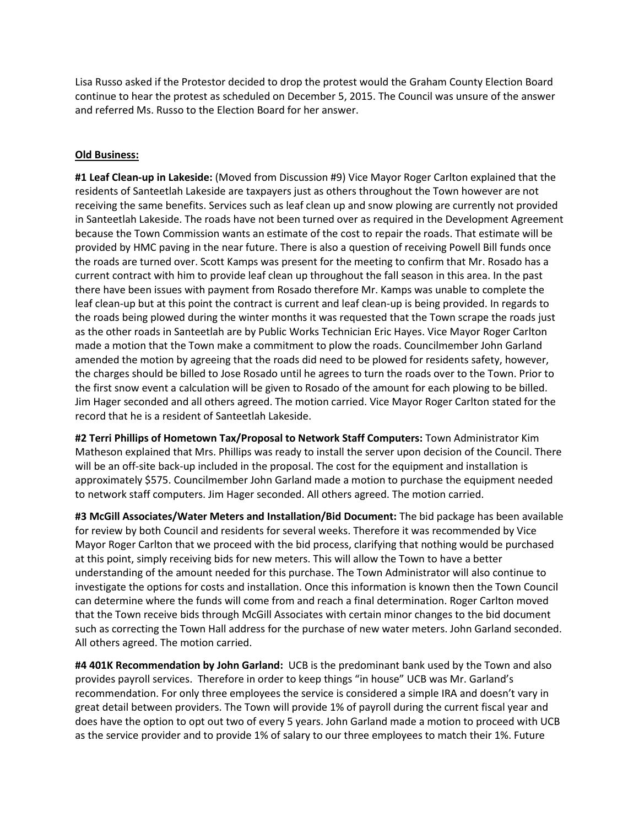Lisa Russo asked if the Protestor decided to drop the protest would the Graham County Election Board continue to hear the protest as scheduled on December 5, 2015. The Council was unsure of the answer and referred Ms. Russo to the Election Board for her answer.

## **Old Business:**

**#1 Leaf Clean-up in Lakeside:** (Moved from Discussion #9) Vice Mayor Roger Carlton explained that the residents of Santeetlah Lakeside are taxpayers just as others throughout the Town however are not receiving the same benefits. Services such as leaf clean up and snow plowing are currently not provided in Santeetlah Lakeside. The roads have not been turned over as required in the Development Agreement because the Town Commission wants an estimate of the cost to repair the roads. That estimate will be provided by HMC paving in the near future. There is also a question of receiving Powell Bill funds once the roads are turned over. Scott Kamps was present for the meeting to confirm that Mr. Rosado has a current contract with him to provide leaf clean up throughout the fall season in this area. In the past there have been issues with payment from Rosado therefore Mr. Kamps was unable to complete the leaf clean-up but at this point the contract is current and leaf clean-up is being provided. In regards to the roads being plowed during the winter months it was requested that the Town scrape the roads just as the other roads in Santeetlah are by Public Works Technician Eric Hayes. Vice Mayor Roger Carlton made a motion that the Town make a commitment to plow the roads. Councilmember John Garland amended the motion by agreeing that the roads did need to be plowed for residents safety, however, the charges should be billed to Jose Rosado until he agrees to turn the roads over to the Town. Prior to the first snow event a calculation will be given to Rosado of the amount for each plowing to be billed. Jim Hager seconded and all others agreed. The motion carried. Vice Mayor Roger Carlton stated for the record that he is a resident of Santeetlah Lakeside.

**#2 Terri Phillips of Hometown Tax/Proposal to Network Staff Computers:** Town Administrator Kim Matheson explained that Mrs. Phillips was ready to install the server upon decision of the Council. There will be an off-site back-up included in the proposal. The cost for the equipment and installation is approximately \$575. Councilmember John Garland made a motion to purchase the equipment needed to network staff computers. Jim Hager seconded. All others agreed. The motion carried.

**#3 McGill Associates/Water Meters and Installation/Bid Document:** The bid package has been available for review by both Council and residents for several weeks. Therefore it was recommended by Vice Mayor Roger Carlton that we proceed with the bid process, clarifying that nothing would be purchased at this point, simply receiving bids for new meters. This will allow the Town to have a better understanding of the amount needed for this purchase. The Town Administrator will also continue to investigate the options for costs and installation. Once this information is known then the Town Council can determine where the funds will come from and reach a final determination. Roger Carlton moved that the Town receive bids through McGill Associates with certain minor changes to the bid document such as correcting the Town Hall address for the purchase of new water meters. John Garland seconded. All others agreed. The motion carried.

**#4 401K Recommendation by John Garland:** UCB is the predominant bank used by the Town and also provides payroll services. Therefore in order to keep things "in house" UCB was Mr. Garland's recommendation. For only three employees the service is considered a simple IRA and doesn't vary in great detail between providers. The Town will provide 1% of payroll during the current fiscal year and does have the option to opt out two of every 5 years. John Garland made a motion to proceed with UCB as the service provider and to provide 1% of salary to our three employees to match their 1%. Future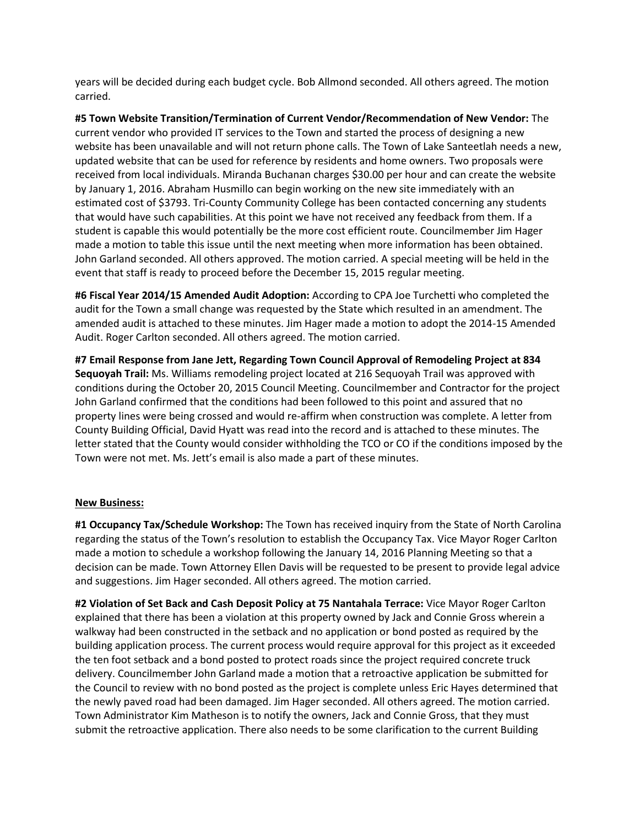years will be decided during each budget cycle. Bob Allmond seconded. All others agreed. The motion carried.

**#5 Town Website Transition/Termination of Current Vendor/Recommendation of New Vendor:** The current vendor who provided IT services to the Town and started the process of designing a new website has been unavailable and will not return phone calls. The Town of Lake Santeetlah needs a new, updated website that can be used for reference by residents and home owners. Two proposals were received from local individuals. Miranda Buchanan charges \$30.00 per hour and can create the website by January 1, 2016. Abraham Husmillo can begin working on the new site immediately with an estimated cost of \$3793. Tri-County Community College has been contacted concerning any students that would have such capabilities. At this point we have not received any feedback from them. If a student is capable this would potentially be the more cost efficient route. Councilmember Jim Hager made a motion to table this issue until the next meeting when more information has been obtained. John Garland seconded. All others approved. The motion carried. A special meeting will be held in the event that staff is ready to proceed before the December 15, 2015 regular meeting.

**#6 Fiscal Year 2014/15 Amended Audit Adoption:** According to CPA Joe Turchetti who completed the audit for the Town a small change was requested by the State which resulted in an amendment. The amended audit is attached to these minutes. Jim Hager made a motion to adopt the 2014-15 Amended Audit. Roger Carlton seconded. All others agreed. The motion carried.

**#7 Email Response from Jane Jett, Regarding Town Council Approval of Remodeling Project at 834 Sequoyah Trail:** Ms. Williams remodeling project located at 216 Sequoyah Trail was approved with conditions during the October 20, 2015 Council Meeting. Councilmember and Contractor for the project John Garland confirmed that the conditions had been followed to this point and assured that no property lines were being crossed and would re-affirm when construction was complete. A letter from County Building Official, David Hyatt was read into the record and is attached to these minutes. The letter stated that the County would consider withholding the TCO or CO if the conditions imposed by the Town were not met. Ms. Jett's email is also made a part of these minutes.

# **New Business:**

**#1 Occupancy Tax/Schedule Workshop:** The Town has received inquiry from the State of North Carolina regarding the status of the Town's resolution to establish the Occupancy Tax. Vice Mayor Roger Carlton made a motion to schedule a workshop following the January 14, 2016 Planning Meeting so that a decision can be made. Town Attorney Ellen Davis will be requested to be present to provide legal advice and suggestions. Jim Hager seconded. All others agreed. The motion carried.

**#2 Violation of Set Back and Cash Deposit Policy at 75 Nantahala Terrace:** Vice Mayor Roger Carlton explained that there has been a violation at this property owned by Jack and Connie Gross wherein a walkway had been constructed in the setback and no application or bond posted as required by the building application process. The current process would require approval for this project as it exceeded the ten foot setback and a bond posted to protect roads since the project required concrete truck delivery. Councilmember John Garland made a motion that a retroactive application be submitted for the Council to review with no bond posted as the project is complete unless Eric Hayes determined that the newly paved road had been damaged. Jim Hager seconded. All others agreed. The motion carried. Town Administrator Kim Matheson is to notify the owners, Jack and Connie Gross, that they must submit the retroactive application. There also needs to be some clarification to the current Building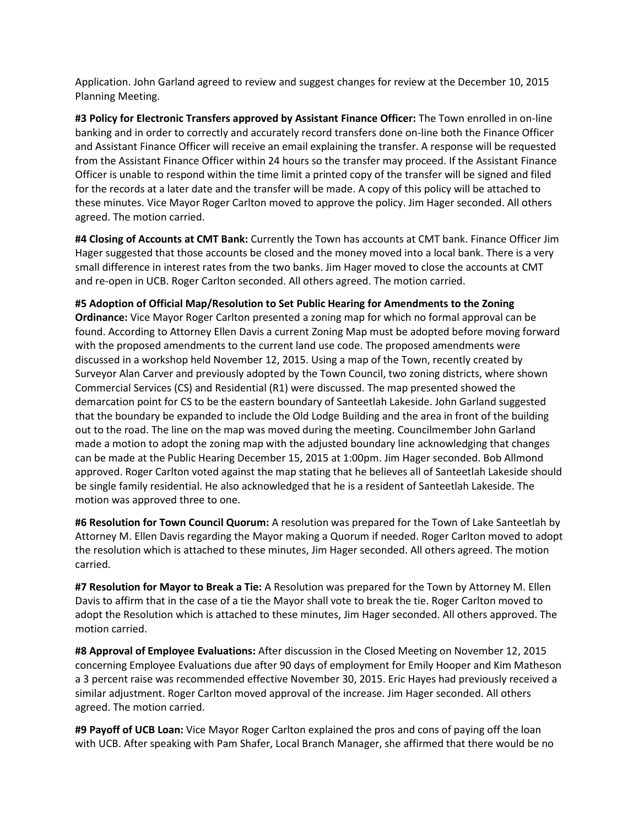Application. John Garland agreed to review and suggest changes for review at the December 10, 2015 Planning Meeting.

**#3 Policy for Electronic Transfers approved by Assistant Finance Officer:** The Town enrolled in on-line banking and in order to correctly and accurately record transfers done on-line both the Finance Officer and Assistant Finance Officer will receive an email explaining the transfer. A response will be requested from the Assistant Finance Officer within 24 hours so the transfer may proceed. If the Assistant Finance Officer is unable to respond within the time limit a printed copy of the transfer will be signed and filed for the records at a later date and the transfer will be made. A copy of this policy will be attached to these minutes. Vice Mayor Roger Carlton moved to approve the policy. Jim Hager seconded. All others agreed. The motion carried.

**#4 Closing of Accounts at CMT Bank:** Currently the Town has accounts at CMT bank. Finance Officer Jim Hager suggested that those accounts be closed and the money moved into a local bank. There is a very small difference in interest rates from the two banks. Jim Hager moved to close the accounts at CMT and re-open in UCB. Roger Carlton seconded. All others agreed. The motion carried.

# **#5 Adoption of Official Map/Resolution to Set Public Hearing for Amendments to the Zoning**

**Ordinance:** Vice Mayor Roger Carlton presented a zoning map for which no formal approval can be found. According to Attorney Ellen Davis a current Zoning Map must be adopted before moving forward with the proposed amendments to the current land use code. The proposed amendments were discussed in a workshop held November 12, 2015. Using a map of the Town, recently created by Surveyor Alan Carver and previously adopted by the Town Council, two zoning districts, where shown Commercial Services (CS) and Residential (R1) were discussed. The map presented showed the demarcation point for CS to be the eastern boundary of Santeetlah Lakeside. John Garland suggested that the boundary be expanded to include the Old Lodge Building and the area in front of the building out to the road. The line on the map was moved during the meeting. Councilmember John Garland made a motion to adopt the zoning map with the adjusted boundary line acknowledging that changes can be made at the Public Hearing December 15, 2015 at 1:00pm. Jim Hager seconded. Bob Allmond approved. Roger Carlton voted against the map stating that he believes all of Santeetlah Lakeside should be single family residential. He also acknowledged that he is a resident of Santeetlah Lakeside. The motion was approved three to one.

**#6 Resolution for Town Council Quorum:** A resolution was prepared for the Town of Lake Santeetlah by Attorney M. Ellen Davis regarding the Mayor making a Quorum if needed. Roger Carlton moved to adopt the resolution which is attached to these minutes, Jim Hager seconded. All others agreed. The motion carried.

**#7 Resolution for Mayor to Break a Tie:** A Resolution was prepared for the Town by Attorney M. Ellen Davis to affirm that in the case of a tie the Mayor shall vote to break the tie. Roger Carlton moved to adopt the Resolution which is attached to these minutes, Jim Hager seconded. All others approved. The motion carried.

**#8 Approval of Employee Evaluations:** After discussion in the Closed Meeting on November 12, 2015 concerning Employee Evaluations due after 90 days of employment for Emily Hooper and Kim Matheson a 3 percent raise was recommended effective November 30, 2015. Eric Hayes had previously received a similar adjustment. Roger Carlton moved approval of the increase. Jim Hager seconded. All others agreed. The motion carried.

**#9 Payoff of UCB Loan:** Vice Mayor Roger Carlton explained the pros and cons of paying off the loan with UCB. After speaking with Pam Shafer, Local Branch Manager, she affirmed that there would be no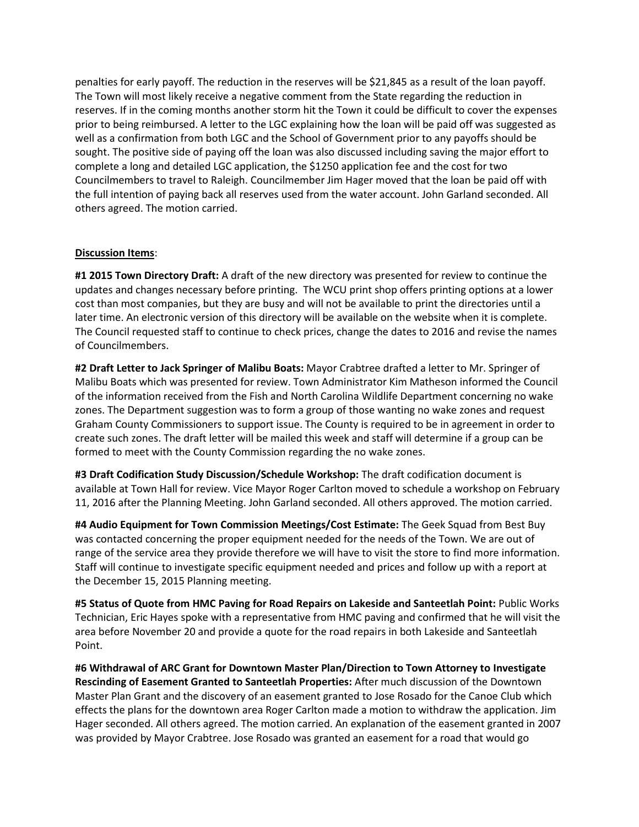penalties for early payoff. The reduction in the reserves will be \$21,845 as a result of the loan payoff. The Town will most likely receive a negative comment from the State regarding the reduction in reserves. If in the coming months another storm hit the Town it could be difficult to cover the expenses prior to being reimbursed. A letter to the LGC explaining how the loan will be paid off was suggested as well as a confirmation from both LGC and the School of Government prior to any payoffs should be sought. The positive side of paying off the loan was also discussed including saving the major effort to complete a long and detailed LGC application, the \$1250 application fee and the cost for two Councilmembers to travel to Raleigh. Councilmember Jim Hager moved that the loan be paid off with the full intention of paying back all reserves used from the water account. John Garland seconded. All others agreed. The motion carried.

### **Discussion Items**:

**#1 2015 Town Directory Draft:** A draft of the new directory was presented for review to continue the updates and changes necessary before printing. The WCU print shop offers printing options at a lower cost than most companies, but they are busy and will not be available to print the directories until a later time. An electronic version of this directory will be available on the website when it is complete. The Council requested staff to continue to check prices, change the dates to 2016 and revise the names of Councilmembers.

**#2 Draft Letter to Jack Springer of Malibu Boats:** Mayor Crabtree drafted a letter to Mr. Springer of Malibu Boats which was presented for review. Town Administrator Kim Matheson informed the Council of the information received from the Fish and North Carolina Wildlife Department concerning no wake zones. The Department suggestion was to form a group of those wanting no wake zones and request Graham County Commissioners to support issue. The County is required to be in agreement in order to create such zones. The draft letter will be mailed this week and staff will determine if a group can be formed to meet with the County Commission regarding the no wake zones.

**#3 Draft Codification Study Discussion/Schedule Workshop:** The draft codification document is available at Town Hall for review. Vice Mayor Roger Carlton moved to schedule a workshop on February 11, 2016 after the Planning Meeting. John Garland seconded. All others approved. The motion carried.

**#4 Audio Equipment for Town Commission Meetings/Cost Estimate:** The Geek Squad from Best Buy was contacted concerning the proper equipment needed for the needs of the Town. We are out of range of the service area they provide therefore we will have to visit the store to find more information. Staff will continue to investigate specific equipment needed and prices and follow up with a report at the December 15, 2015 Planning meeting.

**#5 Status of Quote from HMC Paving for Road Repairs on Lakeside and Santeetlah Point:** Public Works Technician, Eric Hayes spoke with a representative from HMC paving and confirmed that he will visit the area before November 20 and provide a quote for the road repairs in both Lakeside and Santeetlah Point.

**#6 Withdrawal of ARC Grant for Downtown Master Plan/Direction to Town Attorney to Investigate Rescinding of Easement Granted to Santeetlah Properties:** After much discussion of the Downtown Master Plan Grant and the discovery of an easement granted to Jose Rosado for the Canoe Club which effects the plans for the downtown area Roger Carlton made a motion to withdraw the application. Jim Hager seconded. All others agreed. The motion carried. An explanation of the easement granted in 2007 was provided by Mayor Crabtree. Jose Rosado was granted an easement for a road that would go